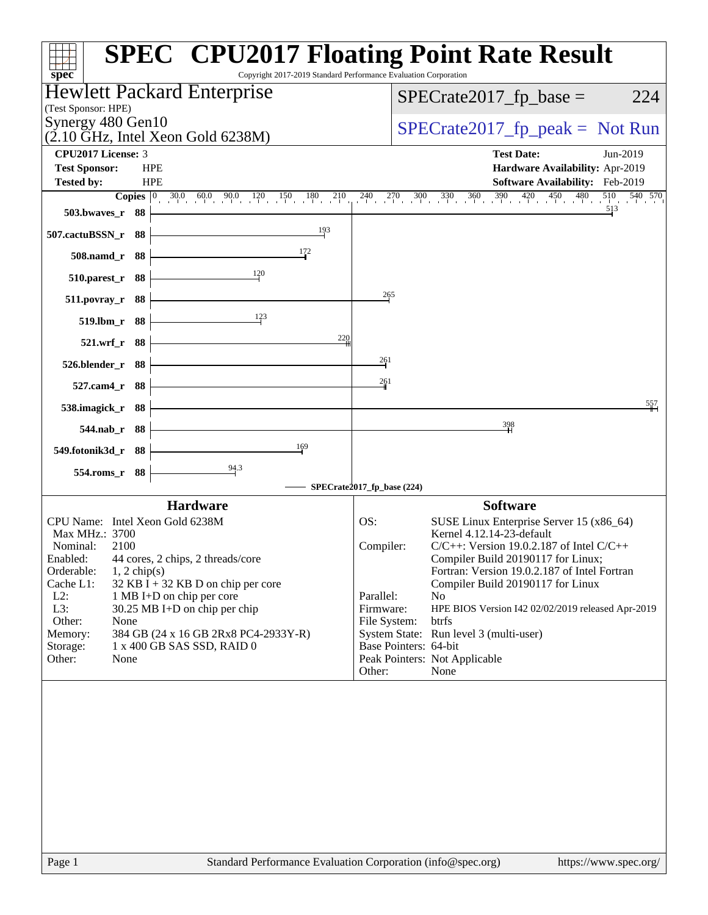| Copyright 2017-2019 Standard Performance Evaluation Corporation<br>spec <sup>®</sup>     | <b>SPEC<sup>®</sup></b> CPU2017 Floating Point Rate Result                                                                       |
|------------------------------------------------------------------------------------------|----------------------------------------------------------------------------------------------------------------------------------|
| Hewlett Packard Enterprise                                                               | $SPECrate2017_fp\_base =$<br>224                                                                                                 |
| (Test Sponsor: HPE)<br>Synergy 480 Gen10                                                 |                                                                                                                                  |
| $(2.10 \text{ GHz}, \text{Intel Xeon Gold } 6238\text{M})$                               | $SPECrate2017_fp\_peak = Not Run$                                                                                                |
| <b>CPU2017 License: 3</b>                                                                | <b>Test Date:</b><br>Jun-2019                                                                                                    |
| <b>Test Sponsor:</b><br><b>HPE</b><br><b>HPE</b><br><b>Tested by:</b>                    | Hardware Availability: Apr-2019<br><b>Software Availability:</b> Feb-2019                                                        |
| Copies $ 0 $                                                                             | $30.0$ $60.0$ $90.0$ $120$ $150$ $180$ $210$ $240$ $270$ $300$ $330$ $360$ $390$ $420$ $450$ $450$<br>$\frac{510}{1}$<br>540 570 |
| 503.bwaves_r 88                                                                          | 513                                                                                                                              |
| 193<br>507.cactuBSSN_r 88                                                                |                                                                                                                                  |
| 172<br>508.namd_r 88                                                                     |                                                                                                                                  |
| 120<br>510.parest_r 88                                                                   |                                                                                                                                  |
| 511.povray_r 88                                                                          | $\frac{265}{2}$                                                                                                                  |
| $\frac{123}{2}$<br>519.lbm_r 88                                                          |                                                                                                                                  |
| 220<br>521.wrf_r 88                                                                      |                                                                                                                                  |
| 526.blender_r 88                                                                         | 261                                                                                                                              |
| 527.cam4_r 88                                                                            | 261                                                                                                                              |
| 538.imagick_r 88                                                                         | 557                                                                                                                              |
| 544.nab_r 88                                                                             | 398                                                                                                                              |
| 169<br>549.fotonik3d_r 88                                                                |                                                                                                                                  |
| $\frac{94.3}{9}$<br>554.roms_r 88                                                        | SPECrate2017_fp_base (224)                                                                                                       |
| <b>Hardware</b>                                                                          | <b>Software</b>                                                                                                                  |
| CPU Name: Intel Xeon Gold 6238M                                                          | SUSE Linux Enterprise Server 15 (x86_64)<br>OS:                                                                                  |
| Max MHz.: 3700                                                                           | Kernel 4.12.14-23-default                                                                                                        |
| Nominal:<br>2100<br>Enabled:<br>44 cores, 2 chips, 2 threads/core                        | Compiler:<br>$C/C++$ : Version 19.0.2.187 of Intel $C/C++$<br>Compiler Build 20190117 for Linux;                                 |
| Orderable:<br>$1, 2$ chip(s)                                                             | Fortran: Version 19.0.2.187 of Intel Fortran                                                                                     |
| Cache L1:<br>$32$ KB I + 32 KB D on chip per core<br>$L2$ :<br>1 MB I+D on chip per core | Compiler Build 20190117 for Linux<br>Parallel:<br>N <sub>o</sub>                                                                 |
| L3:<br>30.25 MB I+D on chip per chip                                                     | Firmware:<br>HPE BIOS Version I42 02/02/2019 released Apr-2019                                                                   |
| Other:<br>None                                                                           | File System:<br>btrfs                                                                                                            |
| 384 GB (24 x 16 GB 2Rx8 PC4-2933Y-R)<br>Memory:                                          | System State: Run level 3 (multi-user)<br>Base Pointers: 64-bit                                                                  |
| 1 x 400 GB SAS SSD, RAID 0<br>Storage:<br>Other:<br>None                                 | Peak Pointers: Not Applicable                                                                                                    |
|                                                                                          | Other:<br>None                                                                                                                   |
|                                                                                          |                                                                                                                                  |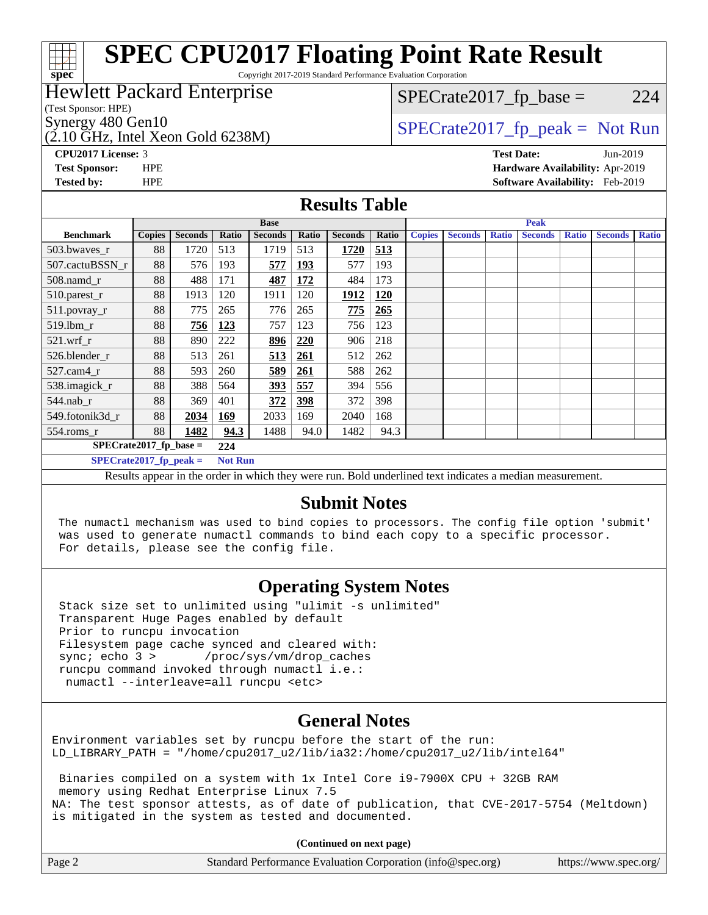# **[spec](http://www.spec.org/)**

# **[SPEC CPU2017 Floating Point Rate Result](http://www.spec.org/auto/cpu2017/Docs/result-fields.html#SPECCPU2017FloatingPointRateResult)**

Copyright 2017-2019 Standard Performance Evaluation Corporation

### Hewlett Packard Enterprise

(Test Sponsor: HPE)

 $(2.10 \text{ GHz}, \text{Intel Xeon}$  Gold 6238M)

 $SPECTate2017<sub>fr</sub> base = 224$ 

Synergy 480 Gen10  $SPECrate2017$  fp\_peak = Not Run

**[CPU2017 License:](http://www.spec.org/auto/cpu2017/Docs/result-fields.html#CPU2017License)** 3 **[Test Date:](http://www.spec.org/auto/cpu2017/Docs/result-fields.html#TestDate)** Jun-2019 **[Test Sponsor:](http://www.spec.org/auto/cpu2017/Docs/result-fields.html#TestSponsor)** HPE **[Hardware Availability:](http://www.spec.org/auto/cpu2017/Docs/result-fields.html#HardwareAvailability)** Apr-2019 **[Tested by:](http://www.spec.org/auto/cpu2017/Docs/result-fields.html#Testedby)** HPE **[Software Availability:](http://www.spec.org/auto/cpu2017/Docs/result-fields.html#SoftwareAvailability)** Feb-2019

### **[Results Table](http://www.spec.org/auto/cpu2017/Docs/result-fields.html#ResultsTable)**

|                          | <b>Base</b>                                |                |       |                | <b>Peak</b> |                |            |               |                |              |                |              |                |              |
|--------------------------|--------------------------------------------|----------------|-------|----------------|-------------|----------------|------------|---------------|----------------|--------------|----------------|--------------|----------------|--------------|
| <b>Benchmark</b>         | <b>Copies</b>                              | <b>Seconds</b> | Ratio | <b>Seconds</b> | Ratio       | <b>Seconds</b> | Ratio      | <b>Copies</b> | <b>Seconds</b> | <b>Ratio</b> | <b>Seconds</b> | <b>Ratio</b> | <b>Seconds</b> | <b>Ratio</b> |
| 503.bwaves_r             | 88                                         | 1720           | 513   | 1719           | 513         | 1720           | 513        |               |                |              |                |              |                |              |
| 507.cactuBSSN r          | 88                                         | 576            | 193   | 577            | <b>193</b>  | 577            | 193        |               |                |              |                |              |                |              |
| $508$ .namd_r            | 88                                         | 488            | 171   | 487            | <u>172</u>  | 484            | 173        |               |                |              |                |              |                |              |
| 510.parest_r             | 88                                         | 1913           | 120   | 1911           | 120         | 1912           | <b>120</b> |               |                |              |                |              |                |              |
| 511.povray_r             | 88                                         | 775            | 265   | 776            | 265         | 775            | 265        |               |                |              |                |              |                |              |
| $519$ .lbm $r$           | 88                                         | 756            | 123   | 757            | 123         | 756            | 123        |               |                |              |                |              |                |              |
| $521$ .wrf r             | 88                                         | 890            | 222   | 896            | 220         | 906            | 218        |               |                |              |                |              |                |              |
| 526.blender r            | 88                                         | 513            | 261   | 513            | <u>261</u>  | 512            | 262        |               |                |              |                |              |                |              |
| $527$ .cam $4r$          | 88                                         | 593            | 260   | 589            | 261         | 588            | 262        |               |                |              |                |              |                |              |
| 538.imagick_r            | 88                                         | 388            | 564   | 393            | 557         | 394            | 556        |               |                |              |                |              |                |              |
| $544$ .nab r             | 88                                         | 369            | 401   | 372            | 398         | 372            | 398        |               |                |              |                |              |                |              |
| 549.fotonik3d r          | 88                                         | 2034           | 169   | 2033           | 169         | 2040           | 168        |               |                |              |                |              |                |              |
| $554$ .roms $r$          | 88                                         | 1482           | 94.3  | 1488           | 94.0        | 1482           | 94.3       |               |                |              |                |              |                |              |
| $SPECrate2017$ fp base = |                                            |                | 224   |                |             |                |            |               |                |              |                |              |                |              |
|                          | $SPECrate2017$ fp peak =<br><b>Not Run</b> |                |       |                |             |                |            |               |                |              |                |              |                |              |

Results appear in the [order in which they were run.](http://www.spec.org/auto/cpu2017/Docs/result-fields.html#RunOrder) Bold underlined text [indicates a median measurement.](http://www.spec.org/auto/cpu2017/Docs/result-fields.html#Median)

### **[Submit Notes](http://www.spec.org/auto/cpu2017/Docs/result-fields.html#SubmitNotes)**

 The numactl mechanism was used to bind copies to processors. The config file option 'submit' was used to generate numactl commands to bind each copy to a specific processor. For details, please see the config file.

### **[Operating System Notes](http://www.spec.org/auto/cpu2017/Docs/result-fields.html#OperatingSystemNotes)**

 Stack size set to unlimited using "ulimit -s unlimited" Transparent Huge Pages enabled by default Prior to runcpu invocation Filesystem page cache synced and cleared with: sync; echo 3 > /proc/sys/vm/drop\_caches runcpu command invoked through numactl i.e.: numactl --interleave=all runcpu <etc>

### **[General Notes](http://www.spec.org/auto/cpu2017/Docs/result-fields.html#GeneralNotes)**

Environment variables set by runcpu before the start of the run: LD\_LIBRARY\_PATH = "/home/cpu2017\_u2/lib/ia32:/home/cpu2017\_u2/lib/intel64"

 Binaries compiled on a system with 1x Intel Core i9-7900X CPU + 32GB RAM memory using Redhat Enterprise Linux 7.5 NA: The test sponsor attests, as of date of publication, that CVE-2017-5754 (Meltdown) is mitigated in the system as tested and documented.

**(Continued on next page)**

| Page 2<br>Standard Performance Evaluation Corporation (info@spec.org)<br>https://www.spec.org/ |
|------------------------------------------------------------------------------------------------|
|------------------------------------------------------------------------------------------------|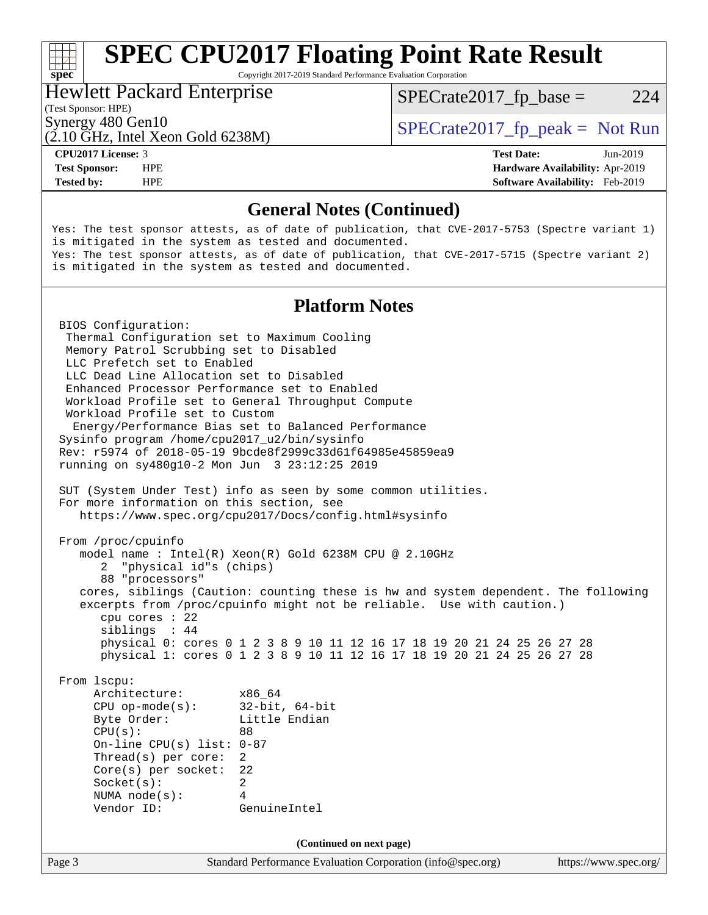# **[SPEC CPU2017 Floating Point Rate Result](http://www.spec.org/auto/cpu2017/Docs/result-fields.html#SPECCPU2017FloatingPointRateResult)**

Copyright 2017-2019 Standard Performance Evaluation Corporation

### Hewlett Packard Enterprise

 $SPECTate2017<sub>fr</sub> base = 224$ 

### (Test Sponsor: HPE)

(2.10 GHz, Intel Xeon Gold 6238M)

Synergy 480 Gen10  $SPECrate2017$  fp\_peak = Not Run

**[Tested by:](http://www.spec.org/auto/cpu2017/Docs/result-fields.html#Testedby)** HPE **[Software Availability:](http://www.spec.org/auto/cpu2017/Docs/result-fields.html#SoftwareAvailability)** Feb-2019

**[CPU2017 License:](http://www.spec.org/auto/cpu2017/Docs/result-fields.html#CPU2017License)** 3 **[Test Date:](http://www.spec.org/auto/cpu2017/Docs/result-fields.html#TestDate)** Jun-2019 **[Test Sponsor:](http://www.spec.org/auto/cpu2017/Docs/result-fields.html#TestSponsor)** HPE **[Hardware Availability:](http://www.spec.org/auto/cpu2017/Docs/result-fields.html#HardwareAvailability)** Apr-2019

### **[General Notes \(Continued\)](http://www.spec.org/auto/cpu2017/Docs/result-fields.html#GeneralNotes)**

Yes: The test sponsor attests, as of date of publication, that CVE-2017-5753 (Spectre variant 1) is mitigated in the system as tested and documented. Yes: The test sponsor attests, as of date of publication, that CVE-2017-5715 (Spectre variant 2) is mitigated in the system as tested and documented.

### **[Platform Notes](http://www.spec.org/auto/cpu2017/Docs/result-fields.html#PlatformNotes)**

Page 3 Standard Performance Evaluation Corporation [\(info@spec.org\)](mailto:info@spec.org) <https://www.spec.org/> BIOS Configuration: Thermal Configuration set to Maximum Cooling Memory Patrol Scrubbing set to Disabled LLC Prefetch set to Enabled LLC Dead Line Allocation set to Disabled Enhanced Processor Performance set to Enabled Workload Profile set to General Throughput Compute Workload Profile set to Custom Energy/Performance Bias set to Balanced Performance Sysinfo program /home/cpu2017\_u2/bin/sysinfo Rev: r5974 of 2018-05-19 9bcde8f2999c33d61f64985e45859ea9 running on sy480g10-2 Mon Jun 3 23:12:25 2019 SUT (System Under Test) info as seen by some common utilities. For more information on this section, see <https://www.spec.org/cpu2017/Docs/config.html#sysinfo> From /proc/cpuinfo model name : Intel(R) Xeon(R) Gold 6238M CPU @ 2.10GHz 2 "physical id"s (chips) 88 "processors" cores, siblings (Caution: counting these is hw and system dependent. The following excerpts from /proc/cpuinfo might not be reliable. Use with caution.) cpu cores : 22 siblings : 44 physical 0: cores 0 1 2 3 8 9 10 11 12 16 17 18 19 20 21 24 25 26 27 28 physical 1: cores 0 1 2 3 8 9 10 11 12 16 17 18 19 20 21 24 25 26 27 28 From lscpu: Architecture: x86\_64 CPU op-mode(s): 32-bit, 64-bit Byte Order: Little Endian CPU(s): 88 On-line CPU(s) list: 0-87 Thread(s) per core: 2 Core(s) per socket: 22 Socket(s): 2 NUMA node(s): 4 Vendor ID: GenuineIntel **(Continued on next page)**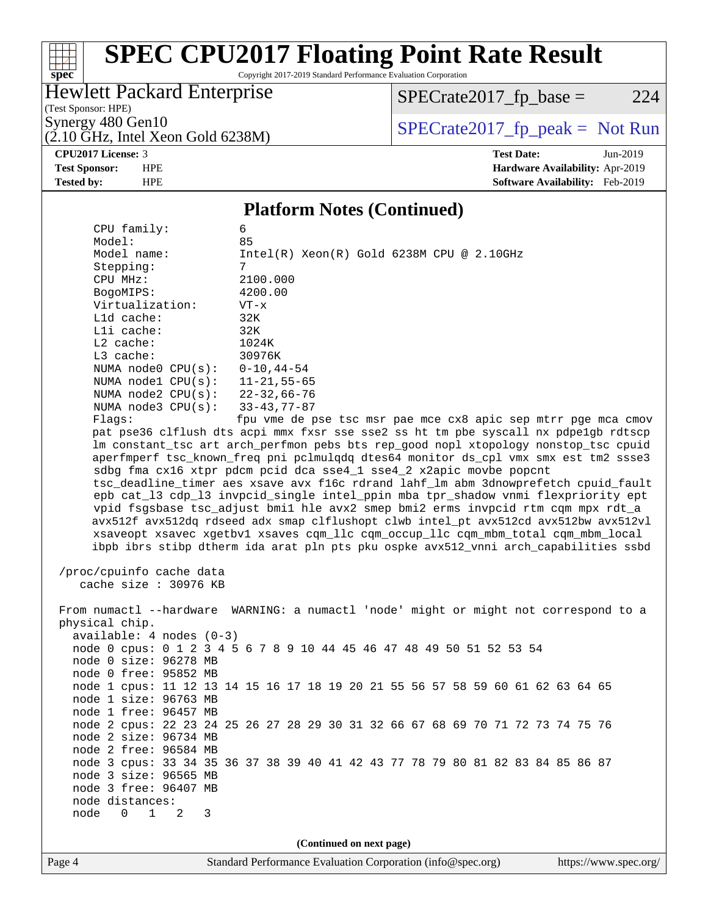### $\pm$ **[spec](http://www.spec.org/)**

# **[SPEC CPU2017 Floating Point Rate Result](http://www.spec.org/auto/cpu2017/Docs/result-fields.html#SPECCPU2017FloatingPointRateResult)**

Copyright 2017-2019 Standard Performance Evaluation Corporation

### Hewlett Packard Enterprise

 $SPECrate2017_fp\_base = 224$ 

(Test Sponsor: HPE)

 $(2.10 \text{ GHz}, \text{Intel Xeon Gold } 6238\text{M})$ 

Synergy 480 Gen10<br>  $\begin{array}{c|c}\n\text{SPECTate2017\_fp\_peak} = \text{Not Run} \\
\hline\n\text{SPECTate2017\_fp\_peak} = \text{Not Run} \\
\end{array}$ 

**[CPU2017 License:](http://www.spec.org/auto/cpu2017/Docs/result-fields.html#CPU2017License)** 3 **[Test Date:](http://www.spec.org/auto/cpu2017/Docs/result-fields.html#TestDate)** Jun-2019 **[Test Sponsor:](http://www.spec.org/auto/cpu2017/Docs/result-fields.html#TestSponsor)** HPE **[Hardware Availability:](http://www.spec.org/auto/cpu2017/Docs/result-fields.html#HardwareAvailability)** Apr-2019 **[Tested by:](http://www.spec.org/auto/cpu2017/Docs/result-fields.html#Testedby)** HPE **[Software Availability:](http://www.spec.org/auto/cpu2017/Docs/result-fields.html#SoftwareAvailability)** Feb-2019

### **[Platform Notes \(Continued\)](http://www.spec.org/auto/cpu2017/Docs/result-fields.html#PlatformNotes)**

| CPU family:                                                                        | 6                                                                                    |                       |  |  |  |  |
|------------------------------------------------------------------------------------|--------------------------------------------------------------------------------------|-----------------------|--|--|--|--|
| Model:<br>Model name:                                                              | 85                                                                                   |                       |  |  |  |  |
|                                                                                    | $Intel(R) Xeon(R) Gold 6238M CPU @ 2.10GHz$                                          |                       |  |  |  |  |
| CPU MHz:                                                                           | Stepping:<br>7<br>2100.000                                                           |                       |  |  |  |  |
| BogoMIPS:                                                                          | 4200.00                                                                              |                       |  |  |  |  |
| Virtualization:                                                                    | $VT - x$                                                                             |                       |  |  |  |  |
| L1d cache:                                                                         | 32K                                                                                  |                       |  |  |  |  |
| Lli cache:                                                                         | 32K                                                                                  |                       |  |  |  |  |
| $L2$ cache:                                                                        | 1024K                                                                                |                       |  |  |  |  |
| L3 cache:                                                                          | 30976K                                                                               |                       |  |  |  |  |
| NUMA node0 CPU(s):                                                                 | $0 - 10, 44 - 54$                                                                    |                       |  |  |  |  |
| NUMA node1 CPU(s):                                                                 | $11 - 21, 55 - 65$                                                                   |                       |  |  |  |  |
|                                                                                    | NUMA node2 CPU(s): 22-32,66-76                                                       |                       |  |  |  |  |
| NUMA $node3$ $CPU(s)$ :                                                            | 33-43,77-87                                                                          |                       |  |  |  |  |
| Flags:                                                                             | fpu vme de pse tsc msr pae mce cx8 apic sep mtrr pge mca cmov                        |                       |  |  |  |  |
|                                                                                    | pat pse36 clflush dts acpi mmx fxsr sse sse2 ss ht tm pbe syscall nx pdpelgb rdtscp  |                       |  |  |  |  |
|                                                                                    | lm constant_tsc art arch_perfmon pebs bts rep_good nopl xtopology nonstop_tsc cpuid  |                       |  |  |  |  |
|                                                                                    | aperfmperf tsc_known_freq pni pclmulqdq dtes64 monitor ds_cpl vmx smx est tm2 ssse3  |                       |  |  |  |  |
|                                                                                    | sdbg fma cx16 xtpr pdcm pcid dca sse4_1 sse4_2 x2apic movbe popcnt                   |                       |  |  |  |  |
| tsc_deadline_timer aes xsave avx f16c rdrand lahf_lm abm 3dnowprefetch cpuid_fault |                                                                                      |                       |  |  |  |  |
|                                                                                    | epb cat_13 cdp_13 invpcid_single intel_ppin mba tpr_shadow vnmi flexpriority ept     |                       |  |  |  |  |
|                                                                                    | vpid fsgsbase tsc_adjust bmil hle avx2 smep bmi2 erms invpcid rtm cqm mpx rdt_a      |                       |  |  |  |  |
|                                                                                    | avx512f avx512dq rdseed adx smap clflushopt clwb intel_pt avx512cd avx512bw avx512vl |                       |  |  |  |  |
|                                                                                    | xsaveopt xsavec xgetbvl xsaves cqm_llc cqm_occup_llc cqm_mbm_total cqm_mbm_local     |                       |  |  |  |  |
|                                                                                    | ibpb ibrs stibp dtherm ida arat pln pts pku ospke avx512_vnni arch_capabilities ssbd |                       |  |  |  |  |
|                                                                                    |                                                                                      |                       |  |  |  |  |
| /proc/cpuinfo cache data                                                           |                                                                                      |                       |  |  |  |  |
| cache size : 30976 KB                                                              |                                                                                      |                       |  |  |  |  |
|                                                                                    | From numactl --hardware WARNING: a numactl 'node' might or might not correspond to a |                       |  |  |  |  |
| physical chip.                                                                     |                                                                                      |                       |  |  |  |  |
| $available: 4 nodes (0-3)$                                                         |                                                                                      |                       |  |  |  |  |
|                                                                                    | node 0 cpus: 0 1 2 3 4 5 6 7 8 9 10 44 45 46 47 48 49 50 51 52 53 54                 |                       |  |  |  |  |
| node 0 size: 96278 MB                                                              |                                                                                      |                       |  |  |  |  |
| node 0 free: 95852 MB                                                              |                                                                                      |                       |  |  |  |  |
|                                                                                    | node 1 cpus: 11 12 13 14 15 16 17 18 19 20 21 55 56 57 58 59 60 61 62 63 64 65       |                       |  |  |  |  |
| node 1 size: 96763 MB                                                              |                                                                                      |                       |  |  |  |  |
| node 1 free: 96457 MB                                                              |                                                                                      |                       |  |  |  |  |
|                                                                                    | node 2 cpus: 22 23 24 25 26 27 28 29 30 31 32 66 67 68 69 70 71 72 73 74 75 76       |                       |  |  |  |  |
| node 2 size: 96734 MB                                                              |                                                                                      |                       |  |  |  |  |
| node 2 free: 96584 MB                                                              |                                                                                      |                       |  |  |  |  |
|                                                                                    | node 3 cpus: 33 34 35 36 37 38 39 40 41 42 43 77 78 79 80 81 82 83 84 85 86 87       |                       |  |  |  |  |
| node 3 size: 96565 MB<br>node 3 free: 96407 MB                                     |                                                                                      |                       |  |  |  |  |
|                                                                                    |                                                                                      |                       |  |  |  |  |
| node distances:<br>$\mathbf{1}$<br>node<br>$\Omega$<br>2                           |                                                                                      |                       |  |  |  |  |
| 3                                                                                  |                                                                                      |                       |  |  |  |  |
|                                                                                    | (Continued on next page)                                                             |                       |  |  |  |  |
| Page 4                                                                             | Standard Performance Evaluation Corporation (info@spec.org)                          | https://www.spec.org/ |  |  |  |  |
|                                                                                    |                                                                                      |                       |  |  |  |  |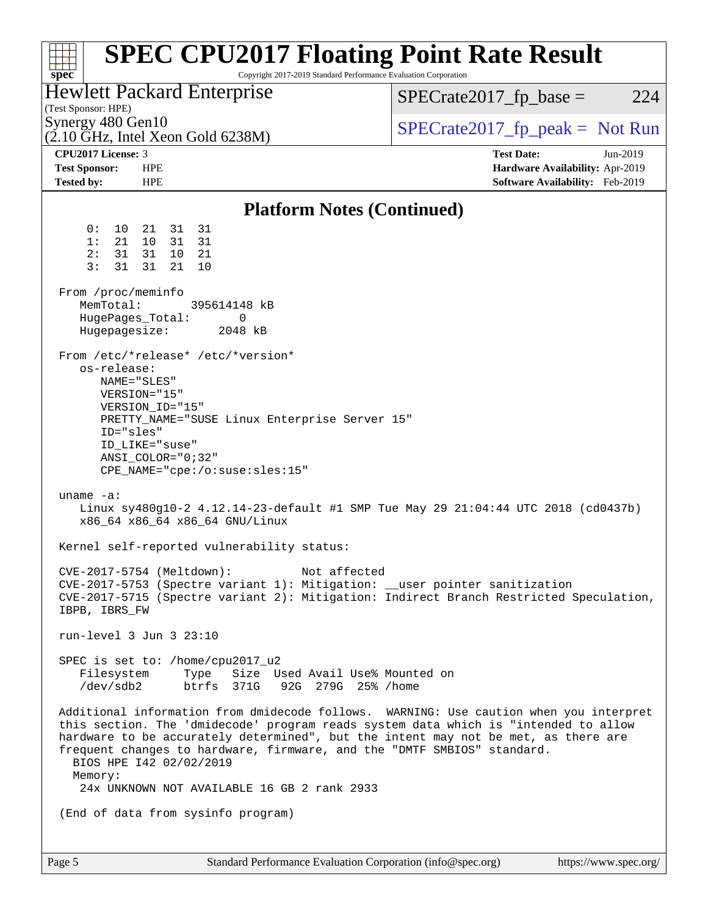| <b>SPEC CPU2017 Floating Point Rate Result</b><br>Copyright 2017-2019 Standard Performance Evaluation Corporation<br>spec <sup>®</sup>                                                                                                                                                                                                                                    |                                                                    |  |  |  |
|---------------------------------------------------------------------------------------------------------------------------------------------------------------------------------------------------------------------------------------------------------------------------------------------------------------------------------------------------------------------------|--------------------------------------------------------------------|--|--|--|
| Hewlett Packard Enterprise<br>(Test Sponsor: HPE)                                                                                                                                                                                                                                                                                                                         | 224<br>$SPECrate2017fp base =$                                     |  |  |  |
| Synergy 480 Gen10<br>$(2.10 \text{ GHz}, \text{Intel Xeon Gold } 6238\text{M})$                                                                                                                                                                                                                                                                                           | $SPECrate2017_fp\_peak = Not Run$                                  |  |  |  |
| CPU <sub>2017</sub> License: 3                                                                                                                                                                                                                                                                                                                                            | <b>Test Date:</b><br>Jun-2019                                      |  |  |  |
| <b>Test Sponsor:</b><br><b>HPE</b><br><b>HPE</b><br><b>Tested by:</b>                                                                                                                                                                                                                                                                                                     | Hardware Availability: Apr-2019<br>Software Availability: Feb-2019 |  |  |  |
| <b>Platform Notes (Continued)</b>                                                                                                                                                                                                                                                                                                                                         |                                                                    |  |  |  |
| 0 :<br>10 21<br>31 31                                                                                                                                                                                                                                                                                                                                                     |                                                                    |  |  |  |
| 31 31<br>1:<br>21<br>10                                                                                                                                                                                                                                                                                                                                                   |                                                                    |  |  |  |
| 2:<br>31<br>31<br>10 21<br>3:<br>31<br>31<br>21<br>10                                                                                                                                                                                                                                                                                                                     |                                                                    |  |  |  |
|                                                                                                                                                                                                                                                                                                                                                                           |                                                                    |  |  |  |
| From /proc/meminfo                                                                                                                                                                                                                                                                                                                                                        |                                                                    |  |  |  |
| MemTotal:<br>395614148 kB                                                                                                                                                                                                                                                                                                                                                 |                                                                    |  |  |  |
| HugePages_Total:<br>0<br>2048 kB                                                                                                                                                                                                                                                                                                                                          |                                                                    |  |  |  |
| Hugepagesize:                                                                                                                                                                                                                                                                                                                                                             |                                                                    |  |  |  |
| From /etc/*release* /etc/*version*                                                                                                                                                                                                                                                                                                                                        |                                                                    |  |  |  |
| os-release:                                                                                                                                                                                                                                                                                                                                                               |                                                                    |  |  |  |
| NAME="SLES"<br>VERSION="15"                                                                                                                                                                                                                                                                                                                                               |                                                                    |  |  |  |
| VERSION_ID="15"                                                                                                                                                                                                                                                                                                                                                           |                                                                    |  |  |  |
| PRETTY_NAME="SUSE Linux Enterprise Server 15"                                                                                                                                                                                                                                                                                                                             |                                                                    |  |  |  |
| ID="sles"                                                                                                                                                                                                                                                                                                                                                                 |                                                                    |  |  |  |
| ID LIKE="suse"                                                                                                                                                                                                                                                                                                                                                            |                                                                    |  |  |  |
| $ANSI$ _COLOR=" $0:32$ "<br>CPE_NAME="cpe:/o:suse:sles:15"                                                                                                                                                                                                                                                                                                                |                                                                    |  |  |  |
|                                                                                                                                                                                                                                                                                                                                                                           |                                                                    |  |  |  |
| uname $-a$ :<br>Linux sy480g10-2 4.12.14-23-default #1 SMP Tue May 29 21:04:44 UTC 2018 (cd0437b)<br>x86_64 x86_64 x86_64 GNU/Linux                                                                                                                                                                                                                                       |                                                                    |  |  |  |
| Kernel self-reported vulnerability status:                                                                                                                                                                                                                                                                                                                                |                                                                    |  |  |  |
| CVE-2017-5754 (Meltdown):<br>Not affected                                                                                                                                                                                                                                                                                                                                 |                                                                    |  |  |  |
| CVE-2017-5753 (Spectre variant 1): Mitigation: __user pointer sanitization                                                                                                                                                                                                                                                                                                |                                                                    |  |  |  |
| CVE-2017-5715 (Spectre variant 2): Mitigation: Indirect Branch Restricted Speculation,<br>IBPB, IBRS_FW                                                                                                                                                                                                                                                                   |                                                                    |  |  |  |
| run-level 3 Jun 3 23:10                                                                                                                                                                                                                                                                                                                                                   |                                                                    |  |  |  |
| SPEC is set to: /home/cpu2017_u2                                                                                                                                                                                                                                                                                                                                          |                                                                    |  |  |  |
| Filesystem Type Size Used Avail Use% Mounted on<br>/dev/sdb2 btrfs 371G 92G 279G 25% /home                                                                                                                                                                                                                                                                                |                                                                    |  |  |  |
|                                                                                                                                                                                                                                                                                                                                                                           |                                                                    |  |  |  |
| Additional information from dmidecode follows. WARNING: Use caution when you interpret<br>this section. The 'dmidecode' program reads system data which is "intended to allow<br>hardware to be accurately determined", but the intent may not be met, as there are<br>frequent changes to hardware, firmware, and the "DMTF SMBIOS" standard.<br>BIOS HPE 142 02/02/2019 |                                                                    |  |  |  |
| Memory:<br>24x UNKNOWN NOT AVAILABLE 16 GB 2 rank 2933                                                                                                                                                                                                                                                                                                                    |                                                                    |  |  |  |
|                                                                                                                                                                                                                                                                                                                                                                           |                                                                    |  |  |  |
| (End of data from sysinfo program)                                                                                                                                                                                                                                                                                                                                        |                                                                    |  |  |  |
|                                                                                                                                                                                                                                                                                                                                                                           |                                                                    |  |  |  |
|                                                                                                                                                                                                                                                                                                                                                                           |                                                                    |  |  |  |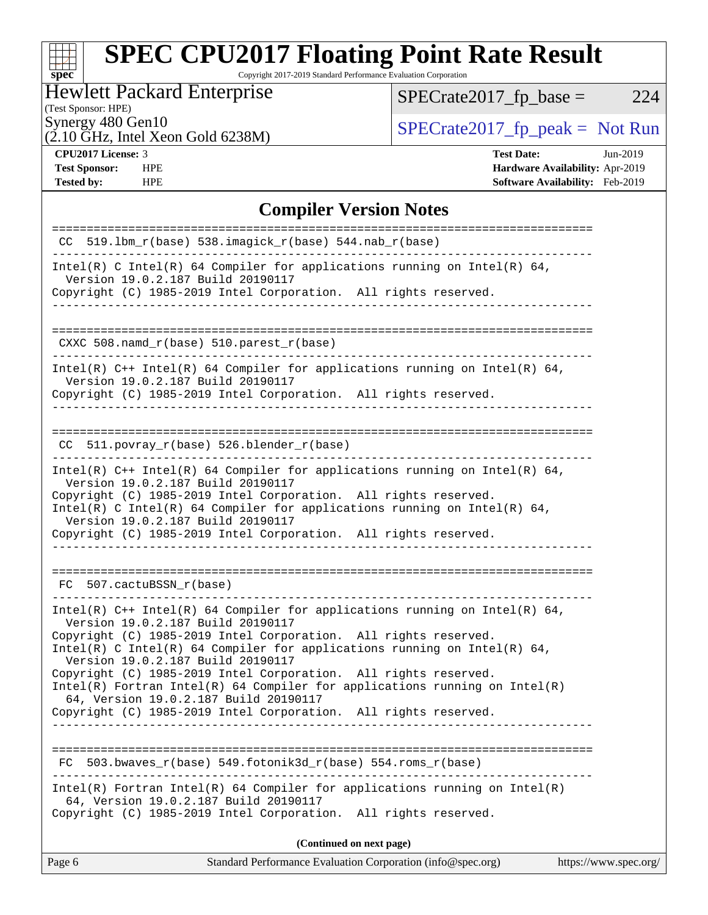# **[spec](http://www.spec.org/)**

# **[SPEC CPU2017 Floating Point Rate Result](http://www.spec.org/auto/cpu2017/Docs/result-fields.html#SPECCPU2017FloatingPointRateResult)**

Copyright 2017-2019 Standard Performance Evaluation Corporation

### Hewlett Packard Enterprise

 $SPECrate2017_fp\_base = 224$ 

### (Test Sponsor: HPE)

 $(2.10 \text{ GHz}, \text{Intel Xeon Gold } 6238\text{M})$ 

Synergy 480 Gen10<br>  $\begin{array}{r} \text{SPECTate2017\_fp\_peak = Not Run} \\ \text{SPECTate2017\_fp\_peak = Not Run} \end{array}$ 

**[Tested by:](http://www.spec.org/auto/cpu2017/Docs/result-fields.html#Testedby)** HPE **[Software Availability:](http://www.spec.org/auto/cpu2017/Docs/result-fields.html#SoftwareAvailability)** Feb-2019

**[CPU2017 License:](http://www.spec.org/auto/cpu2017/Docs/result-fields.html#CPU2017License)** 3 **[Test Date:](http://www.spec.org/auto/cpu2017/Docs/result-fields.html#TestDate)** Jun-2019 **[Test Sponsor:](http://www.spec.org/auto/cpu2017/Docs/result-fields.html#TestSponsor)** HPE **[Hardware Availability:](http://www.spec.org/auto/cpu2017/Docs/result-fields.html#HardwareAvailability)** Apr-2019

### **[Compiler Version Notes](http://www.spec.org/auto/cpu2017/Docs/result-fields.html#CompilerVersionNotes)**

| CC 519.1bm $r(base)$ 538.imagick $r(base)$ 544.nab $r(base)$                                                                                                                                                                                                                                                                                                                                                                                                                                                                                                         |
|----------------------------------------------------------------------------------------------------------------------------------------------------------------------------------------------------------------------------------------------------------------------------------------------------------------------------------------------------------------------------------------------------------------------------------------------------------------------------------------------------------------------------------------------------------------------|
| Intel(R) C Intel(R) 64 Compiler for applications running on Intel(R) 64,<br>Version 19.0.2.187 Build 20190117<br>Copyright (C) 1985-2019 Intel Corporation. All rights reserved.                                                                                                                                                                                                                                                                                                                                                                                     |
| CXXC 508.namd_r(base) 510.parest_r(base)                                                                                                                                                                                                                                                                                                                                                                                                                                                                                                                             |
| Intel(R) $C++$ Intel(R) 64 Compiler for applications running on Intel(R) 64,<br>Version 19.0.2.187 Build 20190117<br>Copyright (C) 1985-2019 Intel Corporation. All rights reserved.                                                                                                                                                                                                                                                                                                                                                                                 |
| $CC$ 511.povray_r(base) 526.blender_r(base)                                                                                                                                                                                                                                                                                                                                                                                                                                                                                                                          |
| Intel(R) $C++$ Intel(R) 64 Compiler for applications running on Intel(R) 64,<br>Version 19.0.2.187 Build 20190117<br>Copyright (C) 1985-2019 Intel Corporation. All rights reserved.<br>Intel(R) C Intel(R) 64 Compiler for applications running on Intel(R) 64,<br>Version 19.0.2.187 Build 20190117<br>Copyright (C) 1985-2019 Intel Corporation. All rights reserved.                                                                                                                                                                                             |
| FC 507.cactuBSSN_r(base)                                                                                                                                                                                                                                                                                                                                                                                                                                                                                                                                             |
| Intel(R) $C++$ Intel(R) 64 Compiler for applications running on Intel(R) 64,<br>Version 19.0.2.187 Build 20190117<br>Copyright (C) 1985-2019 Intel Corporation. All rights reserved.<br>Intel(R) C Intel(R) 64 Compiler for applications running on Intel(R) 64,<br>Version 19.0.2.187 Build 20190117<br>Copyright (C) 1985-2019 Intel Corporation. All rights reserved.<br>$Intel(R)$ Fortran Intel(R) 64 Compiler for applications running on Intel(R)<br>64, Version 19.0.2.187 Build 20190117<br>Copyright (C) 1985-2019 Intel Corporation. All rights reserved. |
| $503.bwaves_r(base) 549.fotonik3d_r(base) 554.roms_r(base)$<br>FC                                                                                                                                                                                                                                                                                                                                                                                                                                                                                                    |
| $Intel(R)$ Fortran Intel(R) 64 Compiler for applications running on Intel(R)<br>64, Version 19.0.2.187 Build 20190117<br>Copyright (C) 1985-2019 Intel Corporation. All rights reserved.                                                                                                                                                                                                                                                                                                                                                                             |
| (Continued on next page)                                                                                                                                                                                                                                                                                                                                                                                                                                                                                                                                             |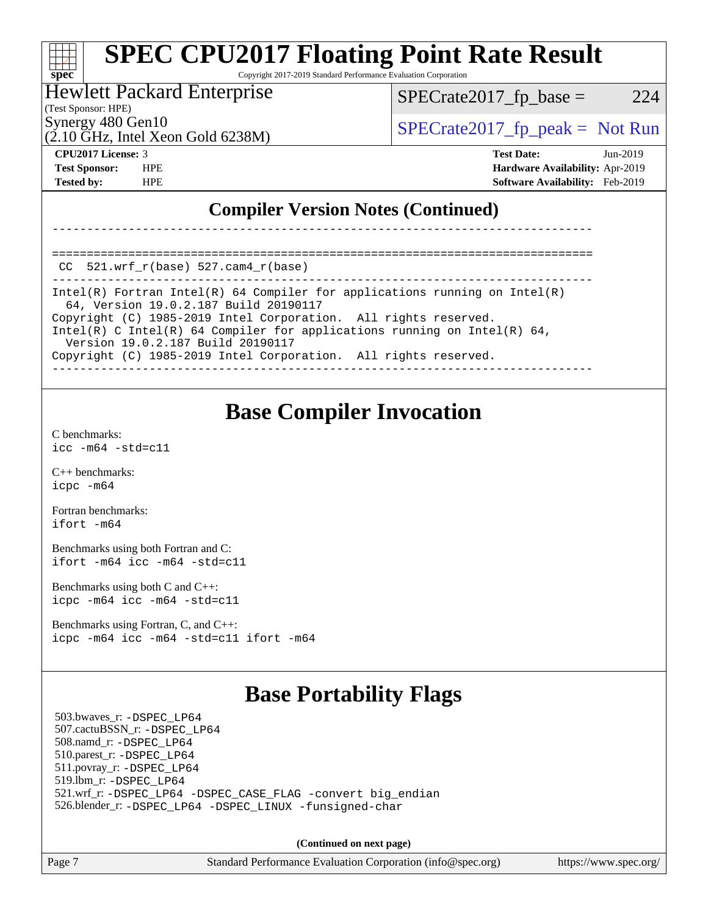### **[SPEC CPU2017 Floating Point Rate Result](http://www.spec.org/auto/cpu2017/Docs/result-fields.html#SPECCPU2017FloatingPointRateResult)** a tim **[spec](http://www.spec.org/)** Copyright 2017-2019 Standard Performance Evaluation Corporation

### Hewlett Packard Enterprise

 $SPECTate2017<sub>fr</sub> base = 224$ 

(Test Sponsor: HPE)

 $(2.10 \text{ GHz}, \text{Intel Xeon Gold } 6238\text{M})$ 

Synergy 480 Gen10  $SPECrate2017$  fp\_peak = Not Run

**[CPU2017 License:](http://www.spec.org/auto/cpu2017/Docs/result-fields.html#CPU2017License)** 3 **[Test Date:](http://www.spec.org/auto/cpu2017/Docs/result-fields.html#TestDate)** Jun-2019 **[Test Sponsor:](http://www.spec.org/auto/cpu2017/Docs/result-fields.html#TestSponsor)** HPE **[Hardware Availability:](http://www.spec.org/auto/cpu2017/Docs/result-fields.html#HardwareAvailability)** Apr-2019 **[Tested by:](http://www.spec.org/auto/cpu2017/Docs/result-fields.html#Testedby)** HPE **[Software Availability:](http://www.spec.org/auto/cpu2017/Docs/result-fields.html#SoftwareAvailability)** Feb-2019

### **[Compiler Version Notes \(Continued\)](http://www.spec.org/auto/cpu2017/Docs/result-fields.html#CompilerVersionNotes)**

==============================================================================  $CC$  521.wrf $r(base)$  527.cam $4$  $r(base)$ 

------------------------------------------------------------------------------ Intel(R) Fortran Intel(R) 64 Compiler for applications running on Intel(R) 64, Version 19.0.2.187 Build 20190117 Copyright (C) 1985-2019 Intel Corporation. All rights reserved. Intel(R) C Intel(R) 64 Compiler for applications running on Intel(R) 64, Version 19.0.2.187 Build 20190117 Copyright (C) 1985-2019 Intel Corporation. All rights reserved. ------------------------------------------------------------------------------

------------------------------------------------------------------------------

### **[Base Compiler Invocation](http://www.spec.org/auto/cpu2017/Docs/result-fields.html#BaseCompilerInvocation)**

[C benchmarks](http://www.spec.org/auto/cpu2017/Docs/result-fields.html#Cbenchmarks): [icc -m64 -std=c11](http://www.spec.org/cpu2017/results/res2019q3/cpu2017-20190624-15613.flags.html#user_CCbase_intel_icc_64bit_c11_33ee0cdaae7deeeab2a9725423ba97205ce30f63b9926c2519791662299b76a0318f32ddfffdc46587804de3178b4f9328c46fa7c2b0cd779d7a61945c91cd35)

[C++ benchmarks:](http://www.spec.org/auto/cpu2017/Docs/result-fields.html#CXXbenchmarks) [icpc -m64](http://www.spec.org/cpu2017/results/res2019q3/cpu2017-20190624-15613.flags.html#user_CXXbase_intel_icpc_64bit_4ecb2543ae3f1412ef961e0650ca070fec7b7afdcd6ed48761b84423119d1bf6bdf5cad15b44d48e7256388bc77273b966e5eb805aefd121eb22e9299b2ec9d9)

[Fortran benchmarks](http://www.spec.org/auto/cpu2017/Docs/result-fields.html#Fortranbenchmarks): [ifort -m64](http://www.spec.org/cpu2017/results/res2019q3/cpu2017-20190624-15613.flags.html#user_FCbase_intel_ifort_64bit_24f2bb282fbaeffd6157abe4f878425411749daecae9a33200eee2bee2fe76f3b89351d69a8130dd5949958ce389cf37ff59a95e7a40d588e8d3a57e0c3fd751)

[Benchmarks using both Fortran and C](http://www.spec.org/auto/cpu2017/Docs/result-fields.html#BenchmarksusingbothFortranandC): [ifort -m64](http://www.spec.org/cpu2017/results/res2019q3/cpu2017-20190624-15613.flags.html#user_CC_FCbase_intel_ifort_64bit_24f2bb282fbaeffd6157abe4f878425411749daecae9a33200eee2bee2fe76f3b89351d69a8130dd5949958ce389cf37ff59a95e7a40d588e8d3a57e0c3fd751) [icc -m64 -std=c11](http://www.spec.org/cpu2017/results/res2019q3/cpu2017-20190624-15613.flags.html#user_CC_FCbase_intel_icc_64bit_c11_33ee0cdaae7deeeab2a9725423ba97205ce30f63b9926c2519791662299b76a0318f32ddfffdc46587804de3178b4f9328c46fa7c2b0cd779d7a61945c91cd35)

[Benchmarks using both C and C++](http://www.spec.org/auto/cpu2017/Docs/result-fields.html#BenchmarksusingbothCandCXX): [icpc -m64](http://www.spec.org/cpu2017/results/res2019q3/cpu2017-20190624-15613.flags.html#user_CC_CXXbase_intel_icpc_64bit_4ecb2543ae3f1412ef961e0650ca070fec7b7afdcd6ed48761b84423119d1bf6bdf5cad15b44d48e7256388bc77273b966e5eb805aefd121eb22e9299b2ec9d9) [icc -m64 -std=c11](http://www.spec.org/cpu2017/results/res2019q3/cpu2017-20190624-15613.flags.html#user_CC_CXXbase_intel_icc_64bit_c11_33ee0cdaae7deeeab2a9725423ba97205ce30f63b9926c2519791662299b76a0318f32ddfffdc46587804de3178b4f9328c46fa7c2b0cd779d7a61945c91cd35)

[Benchmarks using Fortran, C, and C++:](http://www.spec.org/auto/cpu2017/Docs/result-fields.html#BenchmarksusingFortranCandCXX) [icpc -m64](http://www.spec.org/cpu2017/results/res2019q3/cpu2017-20190624-15613.flags.html#user_CC_CXX_FCbase_intel_icpc_64bit_4ecb2543ae3f1412ef961e0650ca070fec7b7afdcd6ed48761b84423119d1bf6bdf5cad15b44d48e7256388bc77273b966e5eb805aefd121eb22e9299b2ec9d9) [icc -m64 -std=c11](http://www.spec.org/cpu2017/results/res2019q3/cpu2017-20190624-15613.flags.html#user_CC_CXX_FCbase_intel_icc_64bit_c11_33ee0cdaae7deeeab2a9725423ba97205ce30f63b9926c2519791662299b76a0318f32ddfffdc46587804de3178b4f9328c46fa7c2b0cd779d7a61945c91cd35) [ifort -m64](http://www.spec.org/cpu2017/results/res2019q3/cpu2017-20190624-15613.flags.html#user_CC_CXX_FCbase_intel_ifort_64bit_24f2bb282fbaeffd6157abe4f878425411749daecae9a33200eee2bee2fe76f3b89351d69a8130dd5949958ce389cf37ff59a95e7a40d588e8d3a57e0c3fd751)

## **[Base Portability Flags](http://www.spec.org/auto/cpu2017/Docs/result-fields.html#BasePortabilityFlags)**

 503.bwaves\_r: [-DSPEC\\_LP64](http://www.spec.org/cpu2017/results/res2019q3/cpu2017-20190624-15613.flags.html#suite_basePORTABILITY503_bwaves_r_DSPEC_LP64) 507.cactuBSSN\_r: [-DSPEC\\_LP64](http://www.spec.org/cpu2017/results/res2019q3/cpu2017-20190624-15613.flags.html#suite_basePORTABILITY507_cactuBSSN_r_DSPEC_LP64) 508.namd\_r: [-DSPEC\\_LP64](http://www.spec.org/cpu2017/results/res2019q3/cpu2017-20190624-15613.flags.html#suite_basePORTABILITY508_namd_r_DSPEC_LP64) 510.parest\_r: [-DSPEC\\_LP64](http://www.spec.org/cpu2017/results/res2019q3/cpu2017-20190624-15613.flags.html#suite_basePORTABILITY510_parest_r_DSPEC_LP64) 511.povray\_r: [-DSPEC\\_LP64](http://www.spec.org/cpu2017/results/res2019q3/cpu2017-20190624-15613.flags.html#suite_basePORTABILITY511_povray_r_DSPEC_LP64) 519.lbm\_r: [-DSPEC\\_LP64](http://www.spec.org/cpu2017/results/res2019q3/cpu2017-20190624-15613.flags.html#suite_basePORTABILITY519_lbm_r_DSPEC_LP64) 521.wrf\_r: [-DSPEC\\_LP64](http://www.spec.org/cpu2017/results/res2019q3/cpu2017-20190624-15613.flags.html#suite_basePORTABILITY521_wrf_r_DSPEC_LP64) [-DSPEC\\_CASE\\_FLAG](http://www.spec.org/cpu2017/results/res2019q3/cpu2017-20190624-15613.flags.html#b521.wrf_r_baseCPORTABILITY_DSPEC_CASE_FLAG) [-convert big\\_endian](http://www.spec.org/cpu2017/results/res2019q3/cpu2017-20190624-15613.flags.html#user_baseFPORTABILITY521_wrf_r_convert_big_endian_c3194028bc08c63ac5d04de18c48ce6d347e4e562e8892b8bdbdc0214820426deb8554edfa529a3fb25a586e65a3d812c835984020483e7e73212c4d31a38223) 526.blender\_r: [-DSPEC\\_LP64](http://www.spec.org/cpu2017/results/res2019q3/cpu2017-20190624-15613.flags.html#suite_basePORTABILITY526_blender_r_DSPEC_LP64) [-DSPEC\\_LINUX](http://www.spec.org/cpu2017/results/res2019q3/cpu2017-20190624-15613.flags.html#b526.blender_r_baseCPORTABILITY_DSPEC_LINUX) [-funsigned-char](http://www.spec.org/cpu2017/results/res2019q3/cpu2017-20190624-15613.flags.html#user_baseCPORTABILITY526_blender_r_force_uchar_40c60f00ab013830e2dd6774aeded3ff59883ba5a1fc5fc14077f794d777847726e2a5858cbc7672e36e1b067e7e5c1d9a74f7176df07886a243d7cc18edfe67)

**(Continued on next page)**

Page 7 Standard Performance Evaluation Corporation [\(info@spec.org\)](mailto:info@spec.org) <https://www.spec.org/>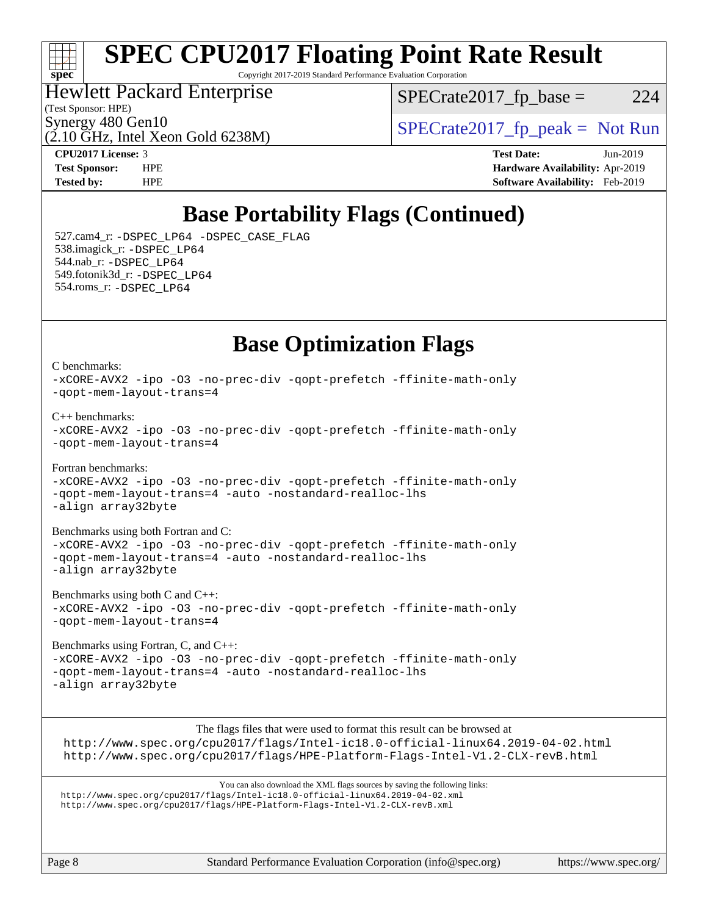### $\pm\pm\tau$ **[spec](http://www.spec.org/)**

# **[SPEC CPU2017 Floating Point Rate Result](http://www.spec.org/auto/cpu2017/Docs/result-fields.html#SPECCPU2017FloatingPointRateResult)**

Copyright 2017-2019 Standard Performance Evaluation Corporation

### Hewlett Packard Enterprise

(Test Sponsor: HPE)

 $SPECTate2017<sub>fr</sub> base = 224$ 

 $(2.10 \text{ GHz}, \text{Intel Xeon}$  Gold 6238M)

Synergy 480 Gen10<br>  $SPECrate2017$  fp\_peak = Not Run

**[CPU2017 License:](http://www.spec.org/auto/cpu2017/Docs/result-fields.html#CPU2017License)** 3 **[Test Date:](http://www.spec.org/auto/cpu2017/Docs/result-fields.html#TestDate)** Jun-2019 **[Test Sponsor:](http://www.spec.org/auto/cpu2017/Docs/result-fields.html#TestSponsor)** HPE **[Hardware Availability:](http://www.spec.org/auto/cpu2017/Docs/result-fields.html#HardwareAvailability)** Apr-2019 **[Tested by:](http://www.spec.org/auto/cpu2017/Docs/result-fields.html#Testedby)** HPE **[Software Availability:](http://www.spec.org/auto/cpu2017/Docs/result-fields.html#SoftwareAvailability)** Feb-2019

## **[Base Portability Flags \(Continued\)](http://www.spec.org/auto/cpu2017/Docs/result-fields.html#BasePortabilityFlags)**

 527.cam4\_r: [-DSPEC\\_LP64](http://www.spec.org/cpu2017/results/res2019q3/cpu2017-20190624-15613.flags.html#suite_basePORTABILITY527_cam4_r_DSPEC_LP64) [-DSPEC\\_CASE\\_FLAG](http://www.spec.org/cpu2017/results/res2019q3/cpu2017-20190624-15613.flags.html#b527.cam4_r_baseCPORTABILITY_DSPEC_CASE_FLAG) 538.imagick\_r: [-DSPEC\\_LP64](http://www.spec.org/cpu2017/results/res2019q3/cpu2017-20190624-15613.flags.html#suite_basePORTABILITY538_imagick_r_DSPEC_LP64) 544.nab\_r: [-DSPEC\\_LP64](http://www.spec.org/cpu2017/results/res2019q3/cpu2017-20190624-15613.flags.html#suite_basePORTABILITY544_nab_r_DSPEC_LP64) 549.fotonik3d\_r: [-DSPEC\\_LP64](http://www.spec.org/cpu2017/results/res2019q3/cpu2017-20190624-15613.flags.html#suite_basePORTABILITY549_fotonik3d_r_DSPEC_LP64) 554.roms\_r: [-DSPEC\\_LP64](http://www.spec.org/cpu2017/results/res2019q3/cpu2017-20190624-15613.flags.html#suite_basePORTABILITY554_roms_r_DSPEC_LP64)

### **[Base Optimization Flags](http://www.spec.org/auto/cpu2017/Docs/result-fields.html#BaseOptimizationFlags)**

[C benchmarks](http://www.spec.org/auto/cpu2017/Docs/result-fields.html#Cbenchmarks): [-xCORE-AVX2](http://www.spec.org/cpu2017/results/res2019q3/cpu2017-20190624-15613.flags.html#user_CCbase_f-xCORE-AVX2) [-ipo](http://www.spec.org/cpu2017/results/res2019q3/cpu2017-20190624-15613.flags.html#user_CCbase_f-ipo) [-O3](http://www.spec.org/cpu2017/results/res2019q3/cpu2017-20190624-15613.flags.html#user_CCbase_f-O3) [-no-prec-div](http://www.spec.org/cpu2017/results/res2019q3/cpu2017-20190624-15613.flags.html#user_CCbase_f-no-prec-div) [-qopt-prefetch](http://www.spec.org/cpu2017/results/res2019q3/cpu2017-20190624-15613.flags.html#user_CCbase_f-qopt-prefetch) [-ffinite-math-only](http://www.spec.org/cpu2017/results/res2019q3/cpu2017-20190624-15613.flags.html#user_CCbase_f_finite_math_only_cb91587bd2077682c4b38af759c288ed7c732db004271a9512da14a4f8007909a5f1427ecbf1a0fb78ff2a814402c6114ac565ca162485bbcae155b5e4258871) [-qopt-mem-layout-trans=4](http://www.spec.org/cpu2017/results/res2019q3/cpu2017-20190624-15613.flags.html#user_CCbase_f-qopt-mem-layout-trans_fa39e755916c150a61361b7846f310bcdf6f04e385ef281cadf3647acec3f0ae266d1a1d22d972a7087a248fd4e6ca390a3634700869573d231a252c784941a8) [C++ benchmarks:](http://www.spec.org/auto/cpu2017/Docs/result-fields.html#CXXbenchmarks) [-xCORE-AVX2](http://www.spec.org/cpu2017/results/res2019q3/cpu2017-20190624-15613.flags.html#user_CXXbase_f-xCORE-AVX2) [-ipo](http://www.spec.org/cpu2017/results/res2019q3/cpu2017-20190624-15613.flags.html#user_CXXbase_f-ipo) [-O3](http://www.spec.org/cpu2017/results/res2019q3/cpu2017-20190624-15613.flags.html#user_CXXbase_f-O3) [-no-prec-div](http://www.spec.org/cpu2017/results/res2019q3/cpu2017-20190624-15613.flags.html#user_CXXbase_f-no-prec-div) [-qopt-prefetch](http://www.spec.org/cpu2017/results/res2019q3/cpu2017-20190624-15613.flags.html#user_CXXbase_f-qopt-prefetch) [-ffinite-math-only](http://www.spec.org/cpu2017/results/res2019q3/cpu2017-20190624-15613.flags.html#user_CXXbase_f_finite_math_only_cb91587bd2077682c4b38af759c288ed7c732db004271a9512da14a4f8007909a5f1427ecbf1a0fb78ff2a814402c6114ac565ca162485bbcae155b5e4258871) [-qopt-mem-layout-trans=4](http://www.spec.org/cpu2017/results/res2019q3/cpu2017-20190624-15613.flags.html#user_CXXbase_f-qopt-mem-layout-trans_fa39e755916c150a61361b7846f310bcdf6f04e385ef281cadf3647acec3f0ae266d1a1d22d972a7087a248fd4e6ca390a3634700869573d231a252c784941a8) [Fortran benchmarks](http://www.spec.org/auto/cpu2017/Docs/result-fields.html#Fortranbenchmarks): [-xCORE-AVX2](http://www.spec.org/cpu2017/results/res2019q3/cpu2017-20190624-15613.flags.html#user_FCbase_f-xCORE-AVX2) [-ipo](http://www.spec.org/cpu2017/results/res2019q3/cpu2017-20190624-15613.flags.html#user_FCbase_f-ipo) [-O3](http://www.spec.org/cpu2017/results/res2019q3/cpu2017-20190624-15613.flags.html#user_FCbase_f-O3) [-no-prec-div](http://www.spec.org/cpu2017/results/res2019q3/cpu2017-20190624-15613.flags.html#user_FCbase_f-no-prec-div) [-qopt-prefetch](http://www.spec.org/cpu2017/results/res2019q3/cpu2017-20190624-15613.flags.html#user_FCbase_f-qopt-prefetch) [-ffinite-math-only](http://www.spec.org/cpu2017/results/res2019q3/cpu2017-20190624-15613.flags.html#user_FCbase_f_finite_math_only_cb91587bd2077682c4b38af759c288ed7c732db004271a9512da14a4f8007909a5f1427ecbf1a0fb78ff2a814402c6114ac565ca162485bbcae155b5e4258871) [-qopt-mem-layout-trans=4](http://www.spec.org/cpu2017/results/res2019q3/cpu2017-20190624-15613.flags.html#user_FCbase_f-qopt-mem-layout-trans_fa39e755916c150a61361b7846f310bcdf6f04e385ef281cadf3647acec3f0ae266d1a1d22d972a7087a248fd4e6ca390a3634700869573d231a252c784941a8) [-auto](http://www.spec.org/cpu2017/results/res2019q3/cpu2017-20190624-15613.flags.html#user_FCbase_f-auto) [-nostandard-realloc-lhs](http://www.spec.org/cpu2017/results/res2019q3/cpu2017-20190624-15613.flags.html#user_FCbase_f_2003_std_realloc_82b4557e90729c0f113870c07e44d33d6f5a304b4f63d4c15d2d0f1fab99f5daaed73bdb9275d9ae411527f28b936061aa8b9c8f2d63842963b95c9dd6426b8a) [-align array32byte](http://www.spec.org/cpu2017/results/res2019q3/cpu2017-20190624-15613.flags.html#user_FCbase_align_array32byte_b982fe038af199962ba9a80c053b8342c548c85b40b8e86eb3cc33dee0d7986a4af373ac2d51c3f7cf710a18d62fdce2948f201cd044323541f22fc0fffc51b6) [Benchmarks using both Fortran and C](http://www.spec.org/auto/cpu2017/Docs/result-fields.html#BenchmarksusingbothFortranandC): [-xCORE-AVX2](http://www.spec.org/cpu2017/results/res2019q3/cpu2017-20190624-15613.flags.html#user_CC_FCbase_f-xCORE-AVX2) [-ipo](http://www.spec.org/cpu2017/results/res2019q3/cpu2017-20190624-15613.flags.html#user_CC_FCbase_f-ipo) [-O3](http://www.spec.org/cpu2017/results/res2019q3/cpu2017-20190624-15613.flags.html#user_CC_FCbase_f-O3) [-no-prec-div](http://www.spec.org/cpu2017/results/res2019q3/cpu2017-20190624-15613.flags.html#user_CC_FCbase_f-no-prec-div) [-qopt-prefetch](http://www.spec.org/cpu2017/results/res2019q3/cpu2017-20190624-15613.flags.html#user_CC_FCbase_f-qopt-prefetch) [-ffinite-math-only](http://www.spec.org/cpu2017/results/res2019q3/cpu2017-20190624-15613.flags.html#user_CC_FCbase_f_finite_math_only_cb91587bd2077682c4b38af759c288ed7c732db004271a9512da14a4f8007909a5f1427ecbf1a0fb78ff2a814402c6114ac565ca162485bbcae155b5e4258871) [-qopt-mem-layout-trans=4](http://www.spec.org/cpu2017/results/res2019q3/cpu2017-20190624-15613.flags.html#user_CC_FCbase_f-qopt-mem-layout-trans_fa39e755916c150a61361b7846f310bcdf6f04e385ef281cadf3647acec3f0ae266d1a1d22d972a7087a248fd4e6ca390a3634700869573d231a252c784941a8) [-auto](http://www.spec.org/cpu2017/results/res2019q3/cpu2017-20190624-15613.flags.html#user_CC_FCbase_f-auto) [-nostandard-realloc-lhs](http://www.spec.org/cpu2017/results/res2019q3/cpu2017-20190624-15613.flags.html#user_CC_FCbase_f_2003_std_realloc_82b4557e90729c0f113870c07e44d33d6f5a304b4f63d4c15d2d0f1fab99f5daaed73bdb9275d9ae411527f28b936061aa8b9c8f2d63842963b95c9dd6426b8a) [-align array32byte](http://www.spec.org/cpu2017/results/res2019q3/cpu2017-20190624-15613.flags.html#user_CC_FCbase_align_array32byte_b982fe038af199962ba9a80c053b8342c548c85b40b8e86eb3cc33dee0d7986a4af373ac2d51c3f7cf710a18d62fdce2948f201cd044323541f22fc0fffc51b6)

[Benchmarks using both C and C++](http://www.spec.org/auto/cpu2017/Docs/result-fields.html#BenchmarksusingbothCandCXX): [-xCORE-AVX2](http://www.spec.org/cpu2017/results/res2019q3/cpu2017-20190624-15613.flags.html#user_CC_CXXbase_f-xCORE-AVX2) [-ipo](http://www.spec.org/cpu2017/results/res2019q3/cpu2017-20190624-15613.flags.html#user_CC_CXXbase_f-ipo) [-O3](http://www.spec.org/cpu2017/results/res2019q3/cpu2017-20190624-15613.flags.html#user_CC_CXXbase_f-O3) [-no-prec-div](http://www.spec.org/cpu2017/results/res2019q3/cpu2017-20190624-15613.flags.html#user_CC_CXXbase_f-no-prec-div) [-qopt-prefetch](http://www.spec.org/cpu2017/results/res2019q3/cpu2017-20190624-15613.flags.html#user_CC_CXXbase_f-qopt-prefetch) [-ffinite-math-only](http://www.spec.org/cpu2017/results/res2019q3/cpu2017-20190624-15613.flags.html#user_CC_CXXbase_f_finite_math_only_cb91587bd2077682c4b38af759c288ed7c732db004271a9512da14a4f8007909a5f1427ecbf1a0fb78ff2a814402c6114ac565ca162485bbcae155b5e4258871) [-qopt-mem-layout-trans=4](http://www.spec.org/cpu2017/results/res2019q3/cpu2017-20190624-15613.flags.html#user_CC_CXXbase_f-qopt-mem-layout-trans_fa39e755916c150a61361b7846f310bcdf6f04e385ef281cadf3647acec3f0ae266d1a1d22d972a7087a248fd4e6ca390a3634700869573d231a252c784941a8)

[Benchmarks using Fortran, C, and C++:](http://www.spec.org/auto/cpu2017/Docs/result-fields.html#BenchmarksusingFortranCandCXX) [-xCORE-AVX2](http://www.spec.org/cpu2017/results/res2019q3/cpu2017-20190624-15613.flags.html#user_CC_CXX_FCbase_f-xCORE-AVX2) [-ipo](http://www.spec.org/cpu2017/results/res2019q3/cpu2017-20190624-15613.flags.html#user_CC_CXX_FCbase_f-ipo) [-O3](http://www.spec.org/cpu2017/results/res2019q3/cpu2017-20190624-15613.flags.html#user_CC_CXX_FCbase_f-O3) [-no-prec-div](http://www.spec.org/cpu2017/results/res2019q3/cpu2017-20190624-15613.flags.html#user_CC_CXX_FCbase_f-no-prec-div) [-qopt-prefetch](http://www.spec.org/cpu2017/results/res2019q3/cpu2017-20190624-15613.flags.html#user_CC_CXX_FCbase_f-qopt-prefetch) [-ffinite-math-only](http://www.spec.org/cpu2017/results/res2019q3/cpu2017-20190624-15613.flags.html#user_CC_CXX_FCbase_f_finite_math_only_cb91587bd2077682c4b38af759c288ed7c732db004271a9512da14a4f8007909a5f1427ecbf1a0fb78ff2a814402c6114ac565ca162485bbcae155b5e4258871) [-qopt-mem-layout-trans=4](http://www.spec.org/cpu2017/results/res2019q3/cpu2017-20190624-15613.flags.html#user_CC_CXX_FCbase_f-qopt-mem-layout-trans_fa39e755916c150a61361b7846f310bcdf6f04e385ef281cadf3647acec3f0ae266d1a1d22d972a7087a248fd4e6ca390a3634700869573d231a252c784941a8) [-auto](http://www.spec.org/cpu2017/results/res2019q3/cpu2017-20190624-15613.flags.html#user_CC_CXX_FCbase_f-auto) [-nostandard-realloc-lhs](http://www.spec.org/cpu2017/results/res2019q3/cpu2017-20190624-15613.flags.html#user_CC_CXX_FCbase_f_2003_std_realloc_82b4557e90729c0f113870c07e44d33d6f5a304b4f63d4c15d2d0f1fab99f5daaed73bdb9275d9ae411527f28b936061aa8b9c8f2d63842963b95c9dd6426b8a) [-align array32byte](http://www.spec.org/cpu2017/results/res2019q3/cpu2017-20190624-15613.flags.html#user_CC_CXX_FCbase_align_array32byte_b982fe038af199962ba9a80c053b8342c548c85b40b8e86eb3cc33dee0d7986a4af373ac2d51c3f7cf710a18d62fdce2948f201cd044323541f22fc0fffc51b6)

The flags files that were used to format this result can be browsed at <http://www.spec.org/cpu2017/flags/Intel-ic18.0-official-linux64.2019-04-02.html> <http://www.spec.org/cpu2017/flags/HPE-Platform-Flags-Intel-V1.2-CLX-revB.html>

You can also download the XML flags sources by saving the following links: <http://www.spec.org/cpu2017/flags/Intel-ic18.0-official-linux64.2019-04-02.xml> <http://www.spec.org/cpu2017/flags/HPE-Platform-Flags-Intel-V1.2-CLX-revB.xml>